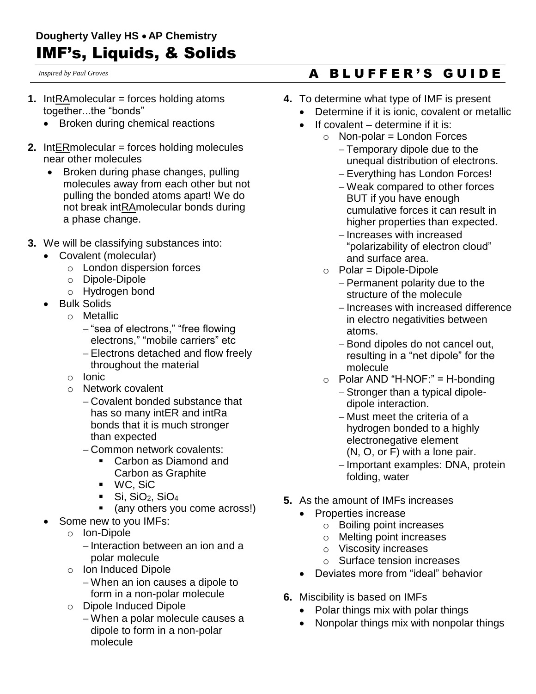*Inspired by Paul Groves*

- **1.** IntRAmolecular = forces holding atoms together...the "bonds"
	- Broken during chemical reactions
- **2.** IntERmolecular = forces holding molecules near other molecules
	- Broken during phase changes, pulling molecules away from each other but not pulling the bonded atoms apart! We do not break intRAmolecular bonds during a phase change.
- **3.** We will be classifying substances into:
	- Covalent (molecular)
		- o London dispersion forces
		- o Dipole-Dipole
		- o Hydrogen bond
	- Bulk Solids
		- o Metallic
			- "sea of electrons," "free flowing electrons," "mobile carriers" etc
			- Electrons detached and flow freely throughout the material
		- o Ionic
		- o Network covalent
			- Covalent bonded substance that has so many intER and intRa bonds that it is much stronger than expected
			- Common network covalents:
				- Carbon as Diamond and Carbon as Graphite
				- WC, SiC
				- $\bullet$  Si, SiO<sub>2</sub>, SiO<sub>4</sub>
				- (any others you come across!)
		- Some new to you IMFs:
			- o Ion-Dipole
				- $-$ Interaction between an ion and a polar molecule
			- o Ion Induced Dipole
				- When an ion causes a dipole to form in a non-polar molecule
			- o Dipole Induced Dipole
				- When a polar molecule causes a dipole to form in a non-polar molecule

## A B L U F F E R ' S G U I D E

- **4.** To determine what type of IMF is present
	- Determine if it is ionic, covalent or metallic
		- $\bullet$  If covalent determine if it is:
			- $\circ$  Non-polar = London Forces
				- Temporary dipole due to the unequal distribution of electrons.
				- Everything has London Forces!
				- Weak compared to other forces BUT if you have enough cumulative forces it can result in higher properties than expected.
				- Increases with increased "polarizability of electron cloud" and surface area.
				- $\circ$  Polar = Dipole-Dipole
					- $-$  Permanent polarity due to the structure of the molecule
					- Increases with increased difference in electro negativities between atoms.
					- Bond dipoles do not cancel out, resulting in a "net dipole" for the molecule
				- $\circ$  Polar AND "H-NOF:" = H-bonding
					- Stronger than a typical dipoledipole interaction.
					- Must meet the criteria of a hydrogen bonded to a highly electronegative element (N, O, or F) with a lone pair.
					- Important examples: DNA, protein folding, water
- **5.** As the amount of IMFs increases
	- Properties increase
		- o Boiling point increases
		- o Melting point increases
		- o Viscosity increases
		- o Surface tension increases
	- Deviates more from "ideal" behavior
- **6.** Miscibility is based on IMFs
	- Polar things mix with polar things
	- Nonpolar things mix with nonpolar things